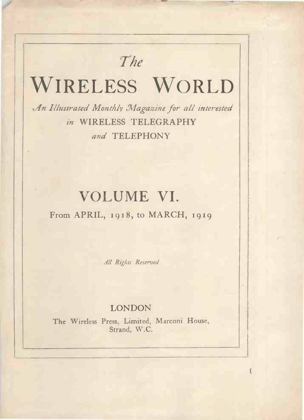The

# WIRELESS WORLD

An Illustrated Monthly Magazine for all interested in WIRELESS TELEGRAPHY and TELEPHONY

## VOLUME VI.

## From APRIL, 1918, to MARCH, 1919

All Rights Reserved

## LONDON

The Wireless Press, Limited, Marconi House, Strand, W.C.

(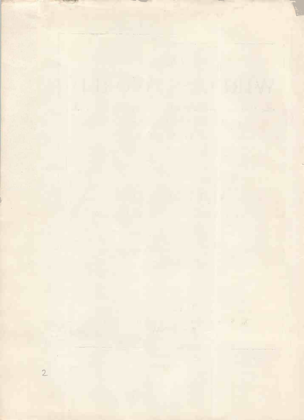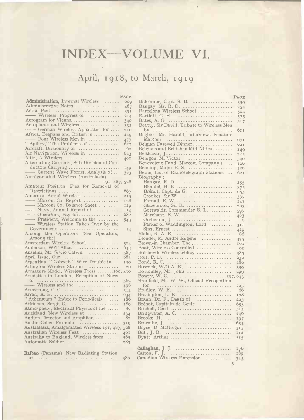## INDEX-VOLUME VI.

## April, 1918, to March, 1919

| <b>Administration</b> , Internal Wireless                                 | 609             | Balcombe, Capt. S. B.                                                          | 359        |
|---------------------------------------------------------------------------|-----------------|--------------------------------------------------------------------------------|------------|
| Administrative Notes                                                      | 487             |                                                                                | 254        |
|                                                                           | 331             | Barcelona Wireless School                                                      | 504        |
| - Wireless, Progress of                                                   | 2I4             |                                                                                | 575        |
| Aerogram for Vienna                                                       | 340             |                                                                                | 517        |
|                                                                           | 332             | Beatty, Sir David, Tribute to Wireless Men                                     |            |
| ------ German Wireless Apparatus for                                      | 210             |                                                                                | 611        |
| Africa, Belgians and British in                                           | 249             | Begbie, Mr. Harold, interviews Senatore                                        |            |
| - Four Wireless Men in                                                    |                 |                                                                                |            |
| " Agility," The Problems of                                               | 477             |                                                                                | 07I        |
|                                                                           | 622             | Belgian Farewell Dinner                                                        | 62I        |
| Aircraft, Dictionary of                                                   | 62              | Belgians and British in Mid-Africa                                             | 249        |
| Air Navigation, Wireless in                                               | 623             |                                                                                | 245        |
|                                                                           | 400             |                                                                                | 340        |
| Alternating Currents, Sub-Division of Con-                                |                 | Benevolent Fund, Marconi Company's                                             | 126        |
| ductors Carrying                                                          | I.49            |                                                                                | 420        |
| - Current Wave Forms, Analysis of                                         | 383             | Berne, List of Radiotelegraph Stations                                         | 62I        |
| Amalgamated Wireless (Australasia)                                        |                 | Biography:                                                                     |            |
| 191, 487, 528                                                             |                 |                                                                                | 255        |
| Amateur Position, Plea for Removal of                                     |                 |                                                                                | 375        |
|                                                                           | 667             |                                                                                | 0,55       |
| American Aerial Wireless                                                  | 215             |                                                                                | 537        |
| ——— Marconi Co. Report                                                    | I28             |                                                                                | I4I        |
| - Marconi Co. Balance Sheet                                               | 120             |                                                                                | 203        |
| - Navy, Annual Report of                                                  | 54              | Gottwaldt, Commander B. L.                                                     | 597        |
|                                                                           | 68 <sub>2</sub> |                                                                                |            |
| - President, Welcome to the                                               |                 | $Orchiston, \dots \dots \dots \dots \dots \dots \dots \dots \dots \dots \dots$ | 483        |
| — Wireless Station Taken Over by the                                      | 543             | Parker of Waddington, Lord                                                     | -9         |
|                                                                           |                 |                                                                                | 311        |
|                                                                           | 54              |                                                                                | 429        |
| Among the Operators (See Operators,                                       |                 |                                                                                | 66         |
| Among the)                                                                |                 | Blondel, M. André Eugene                                                       | 375        |
| Amsterdam Wireless School                                                 | 504             | Blown-in Chamber, The                                                          | 100        |
| Anderson, W/T Allan                                                       | 6.43            | Boat, Wireless-Controlled                                                      | 9I         |
| Anselmi, Mr. Silvio Calvin                                                | 587             | Bolshevik Wireless Policy                                                      | 389        |
|                                                                           | 682             |                                                                                | 232        |
| Argentina, "Cobweb" Wire Trouble in                                       | 130             |                                                                                | 286        |
| Arlington Wireless Station                                                | 20              |                                                                                | 359        |
| Armature Model, Wireless Press 200, 410                                   |                 | Bottomley, Mr. John                                                            | 299        |
| Armistice in London, Reception of News                                    |                 |                                                                                |            |
|                                                                           | 562             | Bradfield, Mr. W. W., Official Recognition                                     |            |
|                                                                           | 498             | for                                                                            | 223        |
|                                                                           | 514             |                                                                                | 66         |
|                                                                           | 0.34            |                                                                                | 178        |
| " Athenæum " Index to Periodicals                                         | 186             | Braun, Dr. F., Death of                                                        | 223        |
| Atkinson, Sergt. C.                                                       | 189             | Brénot, Capitain de Geuie                                                      | 655        |
| Atmosphere, Electrical Physics of the                                     | 87              |                                                                                | 515        |
| Auckland, New Wireless at                                                 | 334             |                                                                                | 240        |
| Audion Detector and Amplifier                                             | 82              |                                                                                | 297        |
| Austin-Cohen Formula                                                      |                 |                                                                                |            |
| Australasia, Amalgamated Wireless 191, 487, 528                           | 319             |                                                                                | 031        |
|                                                                           |                 |                                                                                | 515        |
| Australian Wireless Feat                                                  | 46 <sub>I</sub> |                                                                                | <b>II2</b> |
| Australia to England, Wireless from                                       | 565             |                                                                                | 515        |
|                                                                           | 283             |                                                                                |            |
|                                                                           |                 |                                                                                | I76        |
| $D_n I_{n+1}$ ( $D_{n+1}$ , $I_{n+1}$ ) $I_{n+1}$ $D_n I_{n+1}$ $I_{n+1}$ |                 |                                                                                |            |

| $_{\text{B4108U}}$ (Fandina), New Kathating Station |  |  |
|-----------------------------------------------------|--|--|
| $-8t$                                               |  |  |

|                                                 | PAGE            |                                                                                                                                                                                                                                                                                                                                                                                                                                                                                                                                      | PAGE            |
|-------------------------------------------------|-----------------|--------------------------------------------------------------------------------------------------------------------------------------------------------------------------------------------------------------------------------------------------------------------------------------------------------------------------------------------------------------------------------------------------------------------------------------------------------------------------------------------------------------------------------------|-----------------|
| <b>Administration</b> , Internal Wireless       | 609             | Balcombe, Capt. S. B.                                                                                                                                                                                                                                                                                                                                                                                                                                                                                                                | 359             |
| Administrative Notes                            | 487             |                                                                                                                                                                                                                                                                                                                                                                                                                                                                                                                                      | 254             |
|                                                 | 331             | Barcelona Wireless School                                                                                                                                                                                                                                                                                                                                                                                                                                                                                                            | 504             |
| — Wireless, Progress of                         | 2I4             | Bartlett, G. H. $\ldots, \ldots, \ldots, \ldots, \ldots, \ldots, \ldots, \ldots$                                                                                                                                                                                                                                                                                                                                                                                                                                                     | 575             |
| Aerogram for Vienna                             | 340             |                                                                                                                                                                                                                                                                                                                                                                                                                                                                                                                                      | 517             |
| Aeroplanes and Wireless                         | 332             | Beatty, Sir David, Tribute to Wireless Men                                                                                                                                                                                                                                                                                                                                                                                                                                                                                           |                 |
| --- German Wireless Apparatus for               | 210             |                                                                                                                                                                                                                                                                                                                                                                                                                                                                                                                                      | 611             |
| Africa, Belgians and British in                 | 249             | Begbie, Mr. Harold, interviews Senatore                                                                                                                                                                                                                                                                                                                                                                                                                                                                                              |                 |
| - Four Wireless Men in                          | 477             | Marconi                                                                                                                                                                                                                                                                                                                                                                                                                                                                                                                              | 67I             |
| " Agility," The Problems of                     | 623             |                                                                                                                                                                                                                                                                                                                                                                                                                                                                                                                                      | 62I             |
| Aircraft, Dictionary of                         | 62              | Belgians and British in Mid-Africa                                                                                                                                                                                                                                                                                                                                                                                                                                                                                                   | 249             |
| Air Navigation, Wireless in                     | 623             |                                                                                                                                                                                                                                                                                                                                                                                                                                                                                                                                      | 245             |
|                                                 | 400             |                                                                                                                                                                                                                                                                                                                                                                                                                                                                                                                                      | 340             |
| Alternating Currents, Sub-Division of Con-      |                 | Benevolent Fund, Marconi Company's                                                                                                                                                                                                                                                                                                                                                                                                                                                                                                   | 126             |
|                                                 | I <sub>49</sub> |                                                                                                                                                                                                                                                                                                                                                                                                                                                                                                                                      | 420             |
| —— Current Wave Forms, Analysis of              | 383             | Berne, List of Radiotelegraph Stations                                                                                                                                                                                                                                                                                                                                                                                                                                                                                               | 62I             |
| Amalgamated Wireless (Australasia)              |                 | Biography:                                                                                                                                                                                                                                                                                                                                                                                                                                                                                                                           |                 |
| 191, 487, 528                                   |                 |                                                                                                                                                                                                                                                                                                                                                                                                                                                                                                                                      | 255             |
| Amateur Position, Plea for Removal of           |                 |                                                                                                                                                                                                                                                                                                                                                                                                                                                                                                                                      | 375             |
|                                                 | 667             |                                                                                                                                                                                                                                                                                                                                                                                                                                                                                                                                      | 655             |
| American Aerial Wireless                        | 215             |                                                                                                                                                                                                                                                                                                                                                                                                                                                                                                                                      | 537             |
| ——— Marconi Co. Report                          | 128             |                                                                                                                                                                                                                                                                                                                                                                                                                                                                                                                                      | I4I             |
| - Marconi Co. Balance Sheet                     | 120             |                                                                                                                                                                                                                                                                                                                                                                                                                                                                                                                                      | 203             |
| - Navy, Annual Report of                        | 54              | Gottwaldt, Commander B. L.                                                                                                                                                                                                                                                                                                                                                                                                                                                                                                           | 597             |
|                                                 | 682             |                                                                                                                                                                                                                                                                                                                                                                                                                                                                                                                                      | 483             |
| - President, Welcome to the                     | 543             | $Orchiston, \quad \ldots, \quad \ldots, \quad \ldots, \quad \ldots, \quad \ldots, \quad \ldots, \quad \ldots, \quad \ldots, \quad \ldots, \quad \ldots, \quad \ldots, \quad \ldots, \quad \ldots, \quad \ldots, \quad \ldots, \quad \ldots, \quad \ldots, \quad \ldots, \quad \ldots, \quad \ldots, \quad \ldots, \quad \ldots, \quad \ldots, \quad \ldots, \quad \ldots, \quad \ldots, \quad \ldots, \quad \ldots, \quad \ldots, \quad \ldots, \quad \ldots, \quad \ldots, \quad \ldots, \quad \ldots, \quad \ldots, \quad \ldots,$ | $\mathbf Q$     |
| - Wireless Station Taken Over by the            |                 | Parker of Waddington, Lord                                                                                                                                                                                                                                                                                                                                                                                                                                                                                                           | 311             |
|                                                 | 54              |                                                                                                                                                                                                                                                                                                                                                                                                                                                                                                                                      | 429             |
| Among the Operators (See Operators,             |                 |                                                                                                                                                                                                                                                                                                                                                                                                                                                                                                                                      | -66             |
| Among the)                                      |                 | Blondel, M. André Eugene                                                                                                                                                                                                                                                                                                                                                                                                                                                                                                             | 375             |
| Amsterdam Wireless School                       | 504             | Blown-in Chamber, The                                                                                                                                                                                                                                                                                                                                                                                                                                                                                                                | 100             |
| Anderson, W/T Allan                             | 643             | Boat, Wireless-Controlled                                                                                                                                                                                                                                                                                                                                                                                                                                                                                                            | 9I              |
| Anselmi, Mr. Silvio Calvin                      | 587             | Bolshevik Wireless Policy                                                                                                                                                                                                                                                                                                                                                                                                                                                                                                            | 389             |
|                                                 | 682             |                                                                                                                                                                                                                                                                                                                                                                                                                                                                                                                                      | 232             |
|                                                 | 130             |                                                                                                                                                                                                                                                                                                                                                                                                                                                                                                                                      | 286             |
| Arlington Wireless Station                      | 20              |                                                                                                                                                                                                                                                                                                                                                                                                                                                                                                                                      | 359             |
| Armature Model, Wireless Press 200, 410         |                 |                                                                                                                                                                                                                                                                                                                                                                                                                                                                                                                                      | 299             |
| Armistice in London, Reception of News          |                 |                                                                                                                                                                                                                                                                                                                                                                                                                                                                                                                                      |                 |
|                                                 | 562             | Bradfield, Mr. W. W., Official Recognition                                                                                                                                                                                                                                                                                                                                                                                                                                                                                           |                 |
|                                                 | 498             | for                                                                                                                                                                                                                                                                                                                                                                                                                                                                                                                                  | 223             |
|                                                 | 514             |                                                                                                                                                                                                                                                                                                                                                                                                                                                                                                                                      | 66              |
|                                                 | 634             |                                                                                                                                                                                                                                                                                                                                                                                                                                                                                                                                      | 178             |
| " Athenæum " Index to Periodicals               | 186             | Braun, Dr. F., Death of $\ldots$                                                                                                                                                                                                                                                                                                                                                                                                                                                                                                     | 223             |
| Atkinson, Sergt. C.                             | I89             | Brénot, Capitain de Geuie                                                                                                                                                                                                                                                                                                                                                                                                                                                                                                            | 655             |
| Atmosphere, Electrical Physics of the           | 87              |                                                                                                                                                                                                                                                                                                                                                                                                                                                                                                                                      | 515             |
| Auckland, New Wireless at                       | 234             |                                                                                                                                                                                                                                                                                                                                                                                                                                                                                                                                      | 240             |
| Audion Detector and Amplifier                   | 8 <sub>2</sub>  |                                                                                                                                                                                                                                                                                                                                                                                                                                                                                                                                      | 297             |
| Austin-Cohen Formula                            | 319             |                                                                                                                                                                                                                                                                                                                                                                                                                                                                                                                                      | 031             |
| Australasia, Amalgamated Wireless 191, 487, 528 |                 |                                                                                                                                                                                                                                                                                                                                                                                                                                                                                                                                      | 515             |
| Australian Wireless Feat                        | 46I             |                                                                                                                                                                                                                                                                                                                                                                                                                                                                                                                                      | II <sub>2</sub> |
| Australia to England, Wireless from             | 565             |                                                                                                                                                                                                                                                                                                                                                                                                                                                                                                                                      | 515             |
| Automatic Soldier                               | 283             |                                                                                                                                                                                                                                                                                                                                                                                                                                                                                                                                      |                 |
|                                                 |                 |                                                                                                                                                                                                                                                                                                                                                                                                                                                                                                                                      |                 |
|                                                 |                 |                                                                                                                                                                                                                                                                                                                                                                                                                                                                                                                                      | I76             |
| <b>Balbao</b> (Panama), New Radiating Station   |                 | Calton, $F$ . J.                                                                                                                                                                                                                                                                                                                                                                                                                                                                                                                     | 189             |
|                                                 | 380             | Canadian Wireless Extension                                                                                                                                                                                                                                                                                                                                                                                                                                                                                                          | 345             |
|                                                 |                 | 3                                                                                                                                                                                                                                                                                                                                                                                                                                                                                                                                    |                 |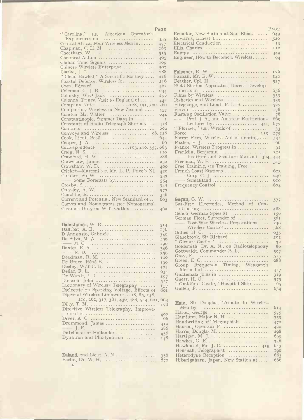| <b>SAULTS AND STAUL</b>                                                                                                                                                                                                        |                 |                              |
|--------------------------------------------------------------------------------------------------------------------------------------------------------------------------------------------------------------------------------|-----------------|------------------------------|
| "Carolina," s.s., American Operator's                                                                                                                                                                                          |                 | Ecuador,                     |
| Experiences on manufactured and support of the set of the set of the set of the set of the set of the set of the set of the set of the set of the set of the set of the set of the set of the set of the set of the set of the | 335             | Edwards,                     |
| Central Africa, Four Wireless Men in                                                                                                                                                                                           | 477             | Electrical                   |
|                                                                                                                                                                                                                                | 189             | Ellis, Cha                   |
|                                                                                                                                                                                                                                | 515             | Energy.                      |
|                                                                                                                                                                                                                                | 465             | Engineer,                    |
| Chilian Time Signals                                                                                                                                                                                                           | 169             |                              |
| Chinese Wireless Enterprise                                                                                                                                                                                                    | 502             |                              |
|                                                                                                                                                                                                                                | 288             | Falconer,                    |
|                                                                                                                                                                                                                                | 2I8             | Farnall, I                   |
| Coastal Defence, Wircless for                                                                                                                                                                                                  | 216             | Feather,                     |
|                                                                                                                                                                                                                                | 403             | Field Sta                    |
|                                                                                                                                                                                                                                | 6.44            | ments                        |
| Colinsky, W/O Jack                                                                                                                                                                                                             | 29 <sup>°</sup> | Films by                     |
| Colonna, Prince, Visit to England of                                                                                                                                                                                           | 44 <sup>2</sup> | Fisheries                    |
|                                                                                                                                                                                                                                | 300             | Fitzgeorg                    |
| Company Notes<br>Company Notes<br>Compulsory Wireless in New Zealand<br>Condon, Mr. Walter                                                                                                                                     | 457             | Flavin, T                    |
|                                                                                                                                                                                                                                | 644             | Fleming                      |
| Constantinople, Summer Days in                                                                                                                                                                                                 | $\mathbb{I}$    |                              |
| Constants of Radio-Telegraph Stations                                                                                                                                                                                          | 3I8             | $-$ Lec                      |
| Contacts                                                                                                                                                                                                                       | 602             | "Florize                     |
|                                                                                                                                                                                                                                |                 | Force .                      |
|                                                                                                                                                                                                                                | 644             | Forest F                     |
|                                                                                                                                                                                                                                | 66              | Foxlee, I                    |
| Correspondence 103, 410, 557,                                                                                                                                                                                                  | 683             | France,                      |
|                                                                                                                                                                                                                                | 110             | Franklin                     |
|                                                                                                                                                                                                                                | 288             | $\overline{\phantom{a}}$ Ins |
| Crawshaw, James                                                                                                                                                                                                                | 232             | Freeman                      |
|                                                                                                                                                                                                                                | 400             | Free Tra                     |
| Cricket-Marconi's v. Mr. L. P. Price's XI                                                                                                                                                                                      | 420             | French C                     |
| Crookes, Sir W.                                                                                                                                                                                                                | 537             | $\equiv$ Cor                 |
| -- Some Forecasts by                                                                                                                                                                                                           | 554             | $\equiv$ Sor                 |
|                                                                                                                                                                                                                                | 345             | Frequeno                     |
|                                                                                                                                                                                                                                | 577             |                              |
|                                                                                                                                                                                                                                | 346             |                              |
| Current and Potential, New Standard of                                                                                                                                                                                         | 603             | Gagan, C                     |
| Curves and Nomograms (see Nomograms)                                                                                                                                                                                           |                 | Gas-Free                     |
| Customs Duty on W.T. Outfits                                                                                                                                                                                                   | 460             | structi                      |
|                                                                                                                                                                                                                                |                 | Genoa C                      |

|                                             | 5I4  | --- ru       |
|---------------------------------------------|------|--------------|
|                                             | 176  | - W          |
| D'Annunzio, Gabriele                        | 340  | Gillies, 1   |
|                                             | 190  | Glazebro     |
|                                             | 190  | " Glenai     |
|                                             | 346  | Goldsmi      |
|                                             | 359  | Gottwal      |
|                                             | 011  | Gray, F      |
|                                             | 190  | Green, I     |
|                                             | 474  | Group        |
|                                             | 634  | Metho        |
|                                             | 297  | Guatem       |
|                                             | 517  | Guest, I     |
| Dictionary of Wireless Telegraphy           | 157  | " Guildí     |
| Dielectric on Sparking Voltage, Effects of  | 60 I | Gullen,      |
| Digest of Wireless Literature  18, 85, 148, |      |              |
| 210, 262, 317, 381, 436, 488, 544, 601,     | 663  |              |
|                                             | 178  | Haig. $\leq$ |
| Directive Wireless Telegraphy, Improve-     |      | Men b        |
|                                             | 490  | Halter,      |
|                                             | 66   | Hamilto      |
| Drummond, James                             | 410  | Handwr       |
|                                             | 286  | Hanson       |
| Dutchman or Hollander                       | 456  | Harris,      |
| Dynatron and Pliodynatron                   | 148  | Hartiga      |
|                                             |      | Hawkes       |
|                                             |      | Hawkho       |
|                                             |      | Hensha       |

| <b>Ealand.</b> 2nd Lieut. A. N | 358 |
|--------------------------------|-----|
|                                |     |
|                                |     |

| GE              |                                                   | PAGE            |  |
|-----------------|---------------------------------------------------|-----------------|--|
|                 | Ecuador, New Station at Sta. Elena                | 649             |  |
| 335             | Edwards, Ernest T                                 | 526             |  |
| 477             | Electrical Conduction                             | 19              |  |
| 189             |                                                   | 112             |  |
| 515             |                                                   | 349             |  |
| 465             | Engineer, How to Become a Wireless                | 94              |  |
| 169             |                                                   |                 |  |
| 502             |                                                   |                 |  |
| 288             |                                                   | 176             |  |
| 218             |                                                   | I40             |  |
| 216             |                                                   | 527             |  |
| 403             | Field Station Apparatus, Recent Develop-          |                 |  |
| 644             |                                                   | 656             |  |
| 29 <sup>S</sup> |                                                   | 339             |  |
| 44 <sup>2</sup> | Fisheries and Wireless                            | 339             |  |
| 300             | Fitzgeorge, 2nd Lieut. F. L. S.                   | 527             |  |
| 457             | Flavin, T.                                        | 178             |  |
| 644             | Fleming Oscillation Valve                         | 78              |  |
| $\mathbf{I}$    | - Prof. J. A., and Amateur Restrictions           | 66 <sub>9</sub> |  |
| 3I8             |                                                   | 677             |  |
| 602             | "Florizel," s.s., Wreck of                        | 33              |  |
| 226             |                                                   | I79             |  |
| 644             | Force 119, Forest Fires, Wireless Aid in fighting | 531             |  |
| 66              |                                                   | 66              |  |
| 683             | France, Wireless Progress in                      | QI              |  |
| IIO             | Franklin, Benjamin                                | 325             |  |
| 288             | - Institute and Senatore Marconi 324,             | 444             |  |
| 232             |                                                   | 515             |  |
| 409             | Free Training, see Training, Free.                |                 |  |
| 420             | French Coast Stations                             | 623             |  |
| 537             |                                                   | 246             |  |
| 554             |                                                   | 610             |  |
| 345             | Frequency Control                                 | 604             |  |
| 577             |                                                   |                 |  |
| 346             |                                                   |                 |  |
| 603             | Gagan, G. W.                                      | 577             |  |
|                 | Gas-Free Electrodes, Method of Con-               |                 |  |
| 460             |                                                   | 488             |  |
|                 | Genoa, German Spies at                            | 156             |  |
|                 | German Fleet, Surrender of                        | 561             |  |
|                 | ---- Post-War Wireless Preparations               | 2,10            |  |
| ETA             |                                                   |                 |  |

| 5I4        | - Post-War Wireless Preparations        | 2,10           |  |
|------------|-----------------------------------------|----------------|--|
| 176        |                                         | 568            |  |
|            |                                         | 635            |  |
| 340        | Glazebrook, Sir Richard                 | 202            |  |
| 190        | "Glenart Castle"                        | 3 <sup>2</sup> |  |
| 190        | Goldsmith, Dr. A. N., on Radiotelephony | 86             |  |
| 346        | Gottwaldt, Commander B. L.              | 597            |  |
| 359<br>110 |                                         | 515            |  |
|            |                                         | 288            |  |
| 190        | Group Frequency Timing, Weagant's       |                |  |
| 474        |                                         | 317            |  |
| 634        |                                         | 319            |  |
| 297        |                                         | 575            |  |
| 517        | "Guildford Castle," Hospital Ship       | 165            |  |
| 157        |                                         | 634            |  |
| 60 I       |                                         |                |  |

| VU 3<br>178 | Haig, Sir Douglas, Tribute to Wireless |            |
|-------------|----------------------------------------|------------|
|             |                                        | 614        |
| 490         |                                        | 575        |
| 66          | Hamilton, Major N. H.                  | 359        |
| 410         | Handwriting of Telegraphists           | 470        |
| 286         |                                        | 420        |
| 456<br>148  | Harris, Douglas M.                     | 208        |
|             |                                        | 699        |
|             |                                        | 346        |
|             | Henshall, Telegraphist                 | 643<br>190 |
| 358         | Heterodyne Reception                   | 663        |
| 670         | Hibarigaharu, Japan, New Station at    | 666        |
|             |                                        |            |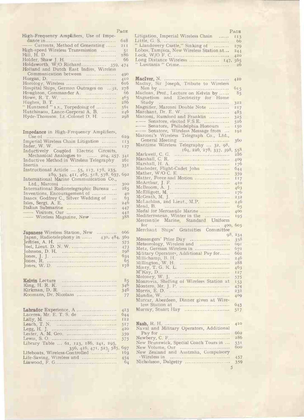|                                         | PAGE |           |
|-----------------------------------------|------|-----------|
| High-Frequency Amplifiers, Use of Impe- |      | Litigatio |
|                                         | 628  | Little, C |
| —— Currents, Method of Generating       | 2II  | " Lland   |
| High-speed Wireless Transmission        | 5I   | Lobos, 1  |
|                                         | 286  | Lock. V   |
|                                         | 66   | Long D:   |
|                                         |      | "Lusita   |
| Holland and Dutch East Indies, Wireless |      |           |
| Communication between                   | 490  |           |
|                                         | 410  | MacIver   |
|                                         | 616  | Maclay,   |
| Hospital Ships, German Outrages on 32,  | 278  | Men 1     |
| Houghton, Commander A.                  | -66  | Maclear   |
|                                         | 463  | Magneti   |
|                                         | 286  | Study     |
| "Huntsend" s.s., Torpedoing of          | 561  | Magnifi   |
| Hutchinson, Lance-Corporal A. B.        | 2.16 | Marcha    |
| Hyde-Thomson, Lt.-Colonel D. H.         | 298  | Marconi   |
|                                         |      |           |

Impedance in High-Frequency Amplifiers,

|                                                | 629 | Marcon: |
|------------------------------------------------|-----|---------|
| Imperial Wireless Chain Litigation             | II3 | Gene:   |
|                                                | 127 | Maritin |
| Inductively Coupled Electric Circuits,         |     | Markwe  |
| Mechanical Analogies to $\ldots$ 204, 257. 341 |     |         |
| Inductive Method in Wireless Telegraphy        | 26I | Marsha  |
|                                                | 351 | Marsha  |
| Instructional Article  55, 117, 178, 235,      |     | Mashed  |
| 289, 349, 411, 465, 518, 578, 637, 692         |     | Mather, |
| International Marine Communication Co.,        |     | Matter, |
|                                                | 300 | McArth  |
| International Radiotelegraphic Bureau          | 285 | McBroc  |
| Inventions, Encouragement of                   | 40  | McEllig |
| Isaacs Godfrey C., Silver Wedding of           | 63  | McGrat  |
| $I$ elge $S$ argt $\Lambda$ F                  | 2.6 | McLach  |

|  | 246 | McLac  |
|--|-----|--------|
|  |     | Mead.  |
|  | 442 | Medal  |
|  |     | Medite |
|  |     | Mercar |

| Japanese Wireless Station, New  666      |     | $11101$ CHO |
|------------------------------------------|-----|-------------|
| Japan, Radiotelephony in $430, 484, 569$ |     | Messen      |
|                                          |     | Meteor      |
|                                          |     | Metz. 0     |
|                                          |     | Militar     |
|                                          | 634 | Millicha    |
|                                          | 65  | Milling     |
|                                          |     | Minty.      |

| <b>Kelvin</b> Lecture | 85  |
|-----------------------|-----|
| King, H. R. K.        | 346 |
|                       | 346 |
|                       | 77  |

| Labrador Experience, A                                                  | 423 | Murray       |
|-------------------------------------------------------------------------|-----|--------------|
|                                                                         | 644 |              |
|                                                                         | 112 |              |
|                                                                         | 517 | Nash,        |
|                                                                         | 420 | Naval        |
|                                                                         | 359 | Pay          |
|                                                                         | 575 | Newbe:       |
| Library Table  61, 123, 186, 241, 295,                                  |     | New B        |
| 356, 416, 471, 523, 585,                                                | 697 | New V        |
| Lifeboats, Wireless-Controlled                                          | 163 | New Z        |
| Life-Saving, Wireless and $\dots\dots\dots\dots\dots\dots$              | 454 | $\cdot$ Wire |
| $Limwood, F, G, \ldots, \ldots, \ldots, \ldots, \ldots, \ldots, \ldots$ | 64  | Nichols      |
|                                                                         |     |              |

#### Litigation, Imperial Wireless Chain Little, G. S. " Llandovery Castle," Sinking of Lobos, Tampica, New Wireless Station at Lock, W/0 F. C. Long Distance Wireless ..........<br>'' Lusitania '' Crime................ PAGE<br>
113<br>
66 279 244 420 147, 565 26

| 410            |                                                                               | 4I <sub>O</sub> |  |
|----------------|-------------------------------------------------------------------------------|-----------------|--|
| 616            |                                                                               |                 |  |
| 278            |                                                                               | 615             |  |
|                |                                                                               |                 |  |
| 66             | Maclean, Prof., Lecture on Kelvin by                                          | 8 <sub>5</sub>  |  |
| 163            | Magnetism and Electricity for Home                                            |                 |  |
| 286            |                                                                               | 322             |  |
|                |                                                                               |                 |  |
| 561            | Magnifier, Marconi Double Note                                                | 217             |  |
| 246            | Marchant, Dr. E. W.                                                           | 483             |  |
| 298            | Marconi, Rumford and Franklin                                                 | 325             |  |
|                |                                                                               |                 |  |
|                | -Senatore, elected F.S.E.                                                     | 526             |  |
|                |                                                                               | 150             |  |
|                | ----- Senatore, Philadelphia Honours<br>----- Senatore, Wireless Message from | 192             |  |
|                | Marconi's Wireless Telegraph Co., Ltd.,                                       |                 |  |
| 629            |                                                                               |                 |  |
| II3            |                                                                               | 360             |  |
| 127            |                                                                               |                 |  |
|                |                                                                               | 558             |  |
|                |                                                                               |                 |  |
| 341            |                                                                               | 286             |  |
| 261            |                                                                               | 400             |  |
|                |                                                                               | 176             |  |
| 35I            |                                                                               |                 |  |
|                | Masheder, Flight-Cadet John                                                   | 644             |  |
| 692            |                                                                               | 359             |  |
|                | Matter, Force and Motion                                                      | II7             |  |
|                |                                                                               |                 |  |
| 300            |                                                                               | 410             |  |
| 285            |                                                                               | 463             |  |
|                |                                                                               | 170             |  |
| 40             |                                                                               |                 |  |
| 6 <sub>3</sub> |                                                                               | 232             |  |
| 246            |                                                                               | 2.46            |  |
| 447            |                                                                               | 65              |  |
|                | Medal for Mercantile Marine                                                   | 400             |  |
| 442            |                                                                               |                 |  |
| 388            | Mediterranean, Winter in the                                                  | 195             |  |
|                | Mercantile Marine, Standard Uniform                                           |                 |  |
|                |                                                                               |                 |  |
|                |                                                                               |                 |  |
| 666            |                                                                               |                 |  |
| 569            |                                                                               | 98, 234         |  |
|                | Messengers' Prize Day                                                         | 358             |  |
| 575            | Meteorology, Wireless and                                                     | 1QQ             |  |
| 473            |                                                                               |                 |  |
| 298            | Metz, German Wireless in                                                      | 672             |  |
|                | Military Operators, Additional Pay for                                        | 662             |  |
| 634            | Millichamp, B. H.<br>Millington, W. H.                                        | 246             |  |
| 65             |                                                                               | 288             |  |
| I78            |                                                                               |                 |  |
|                | Minty, T. G. K. L.<br>M'Kay, D.                                               | 463             |  |
|                |                                                                               | I27             |  |
|                |                                                                               | 575             |  |
| 85             |                                                                               |                 |  |
|                |                                                                               | 153             |  |
| 346            | Montero, Mr. J. P.<br>Morris, E. D.<br>Morris, E. D.                          | 474             |  |
| 346            |                                                                               | 232             |  |
| 77             |                                                                               | 409             |  |
|                |                                                                               |                 |  |
|                | Murcar, Aberdeen, Dinner given at Wire-                                       |                 |  |
|                |                                                                               | 043             |  |
| 423            | Murray, Stuart Hay                                                            | 517             |  |
|                |                                                                               |                 |  |
| 644            |                                                                               |                 |  |
| 112            |                                                                               |                 |  |
| 517            |                                                                               | 410             |  |
| 420            | Naval and Military Operators, Additional                                      |                 |  |
|                |                                                                               | 662             |  |
| 359            |                                                                               |                 |  |
| 575            |                                                                               |                 |  |
|                |                                                                               | 286             |  |
|                |                                                                               |                 |  |
|                | New Brunswick, Special Coach Tours in                                         | 531             |  |
|                |                                                                               | 600             |  |
| 697<br>163     |                                                                               |                 |  |
|                | New Zealand and Australia, Compulsory                                         |                 |  |
| 454            |                                                                               | 457             |  |
| 64             | Nicholsson, Dalgetty                                                          | 359             |  |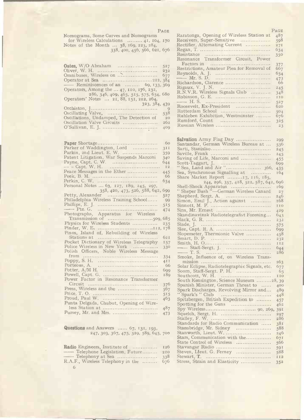PAGE

Nomograms, Some Curves and Nomograms<br>for Wireless Calculations ........ 41, 104, 170 Receive<br>Notes of the Month ... 38, 169, 223, 284, Rectific<br>338, 400, 456, 566, 621, 676 Regan,

|                                                                                    | Facto            |
|------------------------------------------------------------------------------------|------------------|
| 232                                                                                | Restric          |
| Omnibuses, Wireless on<br>677                                                      | Reynole          |
|                                                                                    | $-$ M            |
| $\equiv$ Reminiscences of an  69, 133, 369                                         | Richard          |
| Operators, Among the  47, 110, 176, 232,                                           | Rigaux<br>R.N.V. |
| 286, 346, 409, 463, 515, 575, 634, 680<br>Operators' Notes  21, 88, 151, 212, 264, | Robins           |
| 323, 384, 439                                                                      | —— Н             |
| -9                                                                                 | Roosey           |
| 538                                                                                | Rotterd          |
| Oscillations, Undamped, The Detection of<br>20                                     | Ruhleb           |
| Oscillation Valve Circuits<br>262                                                  | Rumfor           |
| 409                                                                                | Russiar          |
|                                                                                    |                  |

| Paper Shortage<br>.                                             | 60              | ------<br>Santano                                                                                                                                           |
|-----------------------------------------------------------------|-----------------|-------------------------------------------------------------------------------------------------------------------------------------------------------------|
| Parker of Waddington, Lord                                      | 3II             | Sarti, S                                                                                                                                                    |
|                                                                 | 359             | Saville.                                                                                                                                                    |
| Patent Litigation, War Suspends Marconi                         | 340             | Saving                                                                                                                                                      |
|                                                                 | 644             | Scott-T                                                                                                                                                     |
|                                                                 | I <sub>2</sub>  | " Sea, I                                                                                                                                                    |
| Peace Messages in the Ether                                     | 445             | Sea, Sy                                                                                                                                                     |
|                                                                 | -66             | Share N                                                                                                                                                     |
|                                                                 | 634             |                                                                                                                                                             |
| Personal Notes  63, 127, 189, 245, 297,                         |                 | Shell-Sl                                                                                                                                                    |
| 358, 420, 473, 526, 588, 642,                                   | 699             | <b>Shepe</b>                                                                                                                                                |
| Petty, Alexander<br>.                                           | 527             | Shephe:                                                                                                                                                     |
| Philadelphia Wireless Training School                           | 99              | Simon,                                                                                                                                                      |
|                                                                 | 5 <sub>15</sub> | Sinnott                                                                                                                                                     |
|                                                                 | 474             | Sins, M                                                                                                                                                     |
| Photographs, Apparatus for Wireless                             |                 | Skandi                                                                                                                                                      |
|                                                                 |                 |                                                                                                                                                             |
|                                                                 | 235             | Slack,                                                                                                                                                      |
|                                                                 |                 | Slade,<br>Slee, Ca                                                                                                                                          |
| Pinos, Island of, Rebuilding of Wireless                        |                 |                                                                                                                                                             |
| Stations at                                                     | 62I             | Slopem                                                                                                                                                      |
| Pocket Dictionary of Wireless Telegraphy                        | <b>I57</b>      | Smart.                                                                                                                                                      |
| Police Wireless in New York                                     | 330             | Smith.<br>$-$ S                                                                                                                                             |
| Polish Officers, Noble Wireless Message                         |                 | $-\hspace{-0.1cm}$ $ \hspace{0.1cm}$ $\hspace{0.1cm}$ $\hspace{0.1cm}$ $\hspace{0.1cm}$ $\hspace{0.1cm}$ $\hspace{0.1cm}$ $\hspace{0.1cm}$ $\hspace{0.1cm}$ |
| from.                                                           | 334             |                                                                                                                                                             |
|                                                                 | 4II             | Smoke.<br>missi                                                                                                                                             |
|                                                                 | 66              | Solar E                                                                                                                                                     |
|                                                                 | 699             | Soorn.                                                                                                                                                      |
|                                                                 | 189             | Southc                                                                                                                                                      |
| Power Factor in Resonance Transformer                           |                 |                                                                                                                                                             |
|                                                                 | 376             | South I<br>Spanish                                                                                                                                          |
| Press, Wireless and the                                         | 567             |                                                                                                                                                             |
|                                                                 | 515             | Spark 1                                                                                                                                                     |
|                                                                 | 463             | Spark                                                                                                                                                       |
| Punta Delgada, Chubut, Opening of Wire-                         |                 | Spitzbe                                                                                                                                                     |
|                                                                 | 487             | Spottin                                                                                                                                                     |
| Pursey, Mr. and Mrs.                                            |                 | Spy Wi                                                                                                                                                      |
| the contract of the contract of the contract of the contract of | 473             | Squelch                                                                                                                                                     |

Questions and Answers ...... 67, 131, 193, 247, 303, 367, 475, 529, 589, 645, 700

| - Telephone Legislation, Future 210    |  |
|----------------------------------------|--|
|                                        |  |
| R.A.F., Wireless Telephony in the  676 |  |
|                                        |  |

|                                                                  | PAGE |  |
|------------------------------------------------------------------|------|--|
| Raratonga, Opening of Wireless Station at                        | 487  |  |
| Receivers, Super-Sensitive                                       | 598  |  |
| Rectifier, Alternating Current                                   | 27I  |  |
|                                                                  | 634  |  |
|                                                                  | 350  |  |
| Resonance Transformer Circuit, Power                             |      |  |
|                                                                  | 377  |  |
| Restrictions, Amateur Plea for Removal of                        | 667  |  |
|                                                                  | 634  |  |
|                                                                  | 473  |  |
| Richardson, Clarence                                             | -66  |  |
|                                                                  | 245  |  |
| R.N.V.R. Wireless Signals Club                                   | 348  |  |
|                                                                  | IIO  |  |
| —— H. S. ……………………………………                                          | 527  |  |
| Roosevelt, Ex-President                                          | 620  |  |
|                                                                  | 504  |  |
| Ruhleben Exhibition, Westminster                                 | 676  |  |
| $Rumford, Count \dots \dots \dots \dots \dots \dots \dots \dots$ | 325  |  |
|                                                                  | 23   |  |
|                                                                  |      |  |

|                 | Salvation Army Flag Day                                        | 299        |
|-----------------|----------------------------------------------------------------|------------|
| 60              | Santandar, German Wireless Bureau at                           | 536        |
| 3II             |                                                                | 245        |
| 359             |                                                                | 245        |
| 340             | Saving of Life, Marconi and                                    | 455        |
| 044             |                                                                | 699        |
| I <sub>2</sub>  |                                                                | 435        |
| 445             | Sea, Synchronous Signalling at                                 | 164        |
| 66              | Share Market Report 17, 116, 185,                              |            |
| 634             | 244, 296, 357, 418, 522, 587, 642, 696                         |            |
|                 |                                                                | 169        |
| 699             | Shell-Shock Apparatus<br>"Sheper Bush "—German Wireless Canard | 27         |
| 527             |                                                                | 246        |
| 99              | Simon, Emil J., Action against                                 | 168        |
| 5 <sub>15</sub> |                                                                | IIO        |
| 474             |                                                                | 429        |
|                 | Skandinavinsk Radiotelegrafist Forening                        | 643        |
| 685             |                                                                | 232        |
| 235             |                                                                | 575        |
| I78             |                                                                | 699        |
|                 | Slopemeter, Thermionic Valve                                   | 458        |
| 62I             |                                                                | 232        |
| <b>I57</b>      |                                                                | II2        |
| 330             |                                                                | 644        |
|                 |                                                                | 286        |
| 334             | Smoke, Influence of, on Wireless Trans-                        |            |
| 4II             |                                                                | 263        |
| 66              | Solar Eclipse, Radiotelegraphic Signals, etc.                  | 677        |
| 699             | Soom, Staff-Sergt. P. H.                                       | 65         |
| 189             |                                                                | <b>IIO</b> |
|                 | South Kensington, Science Museum 28, 39                        |            |
| 376             | Spanish Minister, German Threat to                             | 400        |
| 567             | Spark Discharges, Revolving Mirror and                         | 489        |
| 515             |                                                                | 448        |
| 463             | Spitzbergen, British Expedition to                             | 457        |
|                 | Spotting for the Guns                                          | 462        |
| 487             |                                                                | 39I        |
| 473             | Squelch, Sergt. H.                                             | 297        |
|                 |                                                                | 286        |
|                 | Standards for Radio Communication                              | 38I        |
|                 | Stansbridge, Mr. Sidney                                        | 588        |
| 700             | Stanworth, Lieut. W.                                           | 246        |
|                 | Stars, Communication with the                                  | 67I        |
|                 | State Control of Wireless                                      | 566        |
| 126             |                                                                | 59I        |
| 210             | Steven, Lieut. G. Ferney                                       | 588        |
| 338             |                                                                | 112        |
| 676             | Stress, Strain and Elasticity                                  | 352        |
|                 |                                                                |            |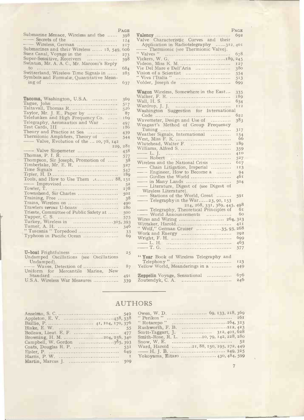|                                             | PAGE | <b>PAGE</b>                                                                                                     |
|---------------------------------------------|------|-----------------------------------------------------------------------------------------------------------------|
| Submarine Menace, Wireless and the  398     |      | 692                                                                                                             |
| $\frac{124}{124}$                           |      | Valve Characteristic Curves and their                                                                           |
|                                             | 217  | Application in Radiotelegraphy 312, 401                                                                         |
| Submarines and their Wireless  18, 549, 606 |      | —— Thermionic (see Thermionic Valve).                                                                           |
|                                             | 273  |                                                                                                                 |
| Super-Sensitive, Receivers                  | 598  |                                                                                                                 |
| Swinton, Mr. A. A. C., Mr. Marconi's Reply  |      |                                                                                                                 |
|                                             | 684  |                                                                                                                 |
| Switzerland, Wireless Time Signals in       | 285  |                                                                                                                 |
| Symbols and Formulæ, Quantitative Mean-     |      |                                                                                                                 |
|                                             | 637  | 699                                                                                                             |
|                                             |      |                                                                                                                 |
|                                             |      | <b>Wagon</b> Wireless, Somewhere in the East<br>335                                                             |
|                                             |      | 189                                                                                                             |
| Tacoma, Washington, U.S.A.                  | 369  |                                                                                                                 |
|                                             |      |                                                                                                                 |
|                                             |      | Washington Suggestion for International                                                                         |
| Telefunken and High Frequency $Co \t\t(60)$ | 87   |                                                                                                                 |
|                                             |      | the contract of the contract of the contract of the contract of the contract of the contract of the contract of |

Telegraphy, Aeronautics and War ......... 497

|                                             | 186 | $\mathcal{U}$ $\mathcal{U}$ $\mathcal{U}$ $\mathcal{U}$<br>Tuni |
|---------------------------------------------|-----|-----------------------------------------------------------------|
| Theory and Practice at Sea                  | 439 | Weath                                                           |
| Thermionic Amplifiers, Theory of            | 544 |                                                                 |
| —— Valve, Evolution of the  10, 78, 142     |     | West, I                                                         |
| 229.                                        | 28I | Whiteh                                                          |
| Valve Slopemeter                            | 458 | Willian                                                         |
|                                             | 577 | $-1$                                                            |
| Thompson, Sir Joseph, Promotion of          | -38 | $-$ F                                                           |
|                                             | 527 | Wireles                                                         |
|                                             | 547 | $ \sim$ $\sim$                                                  |
|                                             | 189 | $-$ F                                                           |
| Tools, and How to Use Them $\ldots$ 88, 151 |     | $\overline{\phantom{a}}$ C                                      |
|                                             | 52  | $\overline{\phantom{0}}$ in                                     |
|                                             | 178 | $\overline{\phantom{a}}$ I                                      |
|                                             |     | Wire                                                            |
| Townshend, Sir Charles                      | 50I | $-$ S                                                           |
|                                             | 38  | $\longrightarrow$ T                                             |
| Trains, Wireless on                         | 490 |                                                                 |
| Trawlers versus U-boats                     | 280 | $-1$                                                            |
| Trieste, Committee of Public Safety at      | 500 | $\overline{I}$                                                  |
|                                             | 575 | Wires:                                                          |
|                                             |     | Wittal                                                          |
|                                             | 346 | " Wolf                                                          |
| " Tuscania " Torpedoed                      | 33  | Work:                                                           |
| Typhoon in Pacific Ocean                    | 69  | Wrigh:                                                          |
|                                             |     |                                                                 |

| Undamped Oscillations (see Oscillations |     | <b>" Yea</b> |
|-----------------------------------------|-----|--------------|
| Undamped).                              |     | Tele         |
|                                         |     |              |
| Uniform for Mercantile Marine, New      |     |              |
| Standard                                | 491 | Zeppe        |
|                                         |     | Zoute:       |
|                                         |     |              |

#### ing of *a communication of the communication* of  $637$  Volder, Joseph de *communication* of  $699$  $229,281$  Williams, Alfred S.  $\frac{139}{159}$  359  $369 \tWall$  $5^{17}$  Wards  $834$ <br>  $17$  Wall, H. S.  $\ldots$   $634$ <br>  $87$  Wardrop, J. J.  $\ldots$   $112$ <br>  $88$ <br>  $894$ <br>  $894$ <br>  $894$ <br>  $894$ <br>  $894$  $169$   $W<sub>3</sub>$ <sub>169</sub> 199 Wavemeter, Design and Use of .............. 383<br>186 Weagant's Method of Group Frequency<br>186 Tuning 317<br>199 Tuning 317 439 Weather Signals, International 154  $^{458}$  — L. J.  $^{1111}$   $^{1101}$   $^{1101}$   $^{1101}$ - Robert  $rac{38}{527}$  Wirele  $547$   $\frac{1}{2}$  $189 \longrightarrow 189$  is the World  $\frac{1}{161}$ <br> $188, 151 \longrightarrow 161$  in Many Lands  $52 \longrightarrow 52$  Literature, Digest of (see Digest of Wireless Literature).<br>  $78 \longrightarrow 54$  Wireless Literature).<br>  $\frac{1}{28} \longrightarrow 54$  Stations of the World, Great ......... 591 Wireless Literature). - Stations of the World, Great ......... 38 20<sup>9</sup> 80 500 World Announcements 6o 575 Wires and Wiring 264,323 25 Valve Characteristic Curves and their Application in Radiotelegraphy ......312, 401<br>— Thermionic (see Thermionic Valve). Vickers, W. G. 189, 245 Videon, Miss K. M. 127 Vie Del Mare e Dell'Aria 38o vision of a Statistical Martin Statistics 313<br>Volder, Joseph de **Francia Community 654** Wagon Wireless, Somewhere in the East... 335  $180$ 634 112 Walker, F. R. Code 622 Weather Signals, International 154<br>West, Miss F. K. 66<br>Whitehead. Walter F. (1998) 189 Whitehead, Walter F. 1899<br>Williams, Alfred S. 1898 1899 1899 1899 Robert 527 Wireless and the National Crisis ............ 617<br>—— Chain Litigation, Imperial ............ 113 Engineer, How to Become a 94 Telegraphy in the  $War.....23, 90, 153$ 214, 268, 331, 389, 445, 498 Telegraphy, Theoretical Principles of 61 Wittaker, Harold 411 " Wolf," German Cruiser 35,93,268 Work and Energy 292 Wright, F. H. 699 L. H. 463 T. G. 577 383 591

|            | "Year Book of Wireless Telegraphy and |     |
|------------|---------------------------------------|-----|
| 87         | Yellow World, Meanderings in a  449   | I23 |
| 491<br>339 |                                       | 246 |

## AUTHORS

| Smith-Rose, R. L. 10, 79, 142, 228, 280 |
|-----------------------------------------|
|                                         |
| Ward, Harold 21, 88, 150, 195, 272, 449 |
|                                         |
|                                         |
|                                         |

7

## PAGE<br>692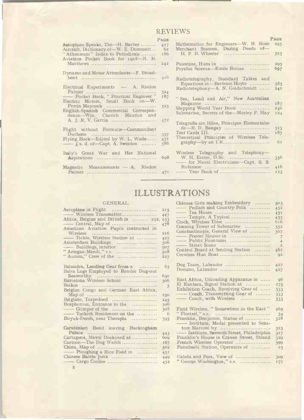## REVIEWS

|                                                                                                                                                        | PAGE              |                                                                     |
|--------------------------------------------------------------------------------------------------------------------------------------------------------|-------------------|---------------------------------------------------------------------|
| Aeroplane Speaks, The-H. Barber<br>Aircraft, Dictionary of-W. E. Dommett<br>"Athenæum" Index to Periodicals<br>Aviation Pocket Book for 1918—R. B.     | 417<br>62<br>186  | Mathematics for<br>Merchant Seam<br>H. F. B. Whe                    |
| Dynamo and Motor Attendants-F. Broad-                                                                                                                  | 242               | Palestine, Huns<br>Psychic Science-                                 |
| Electrical Experiments — A. Risdon                                                                                                                     | 410               | Radiotelegraphy<br>Equations in-                                    |
| - Pocket Book, "Practical Engineer"                                                                                                                    | 524<br>I87        | Radiotelephony-<br>"Sea, Land ar                                    |
| Electric Motors, Small Book on-W.<br>Perrin Maycock<br>English-Spanish Commercial Correspon-<br>dence-Wm. Chevob Maurice and                           | 525               | Magazine<br>Shipping World<br>Submarine, Secr                       |
|                                                                                                                                                        | $47^{2}$          | Telegrafia sin Hi                                                   |
| Flight without Formulæ-Commandant<br>Flying Book—Edited by W. L. Wade<br>$\overline{\phantom{a}}$ f s. d. of $\overline{\phantom{a}}$ Capt. A. Swinton | 357<br>47I<br>586 | $de-R$ , D. Ba<br>Test Cards III.<br>Theoretical Pri<br>graphy-by a |
| Italy's Great War and Her National                                                                                                                     | 698               | Wireless Teleg:<br>W. H. Eccles.<br>- for Naval                     |
| Magnetic Measurements — A. Risdon                                                                                                                      |                   | Robinson<br>- Year Book                                             |

| PAGE              |                                                                                                        | <b>PAGE</b>       |
|-------------------|--------------------------------------------------------------------------------------------------------|-------------------|
| 417               | Mathematics for Engineers---W. N. Rose<br>Merchant Seamen, Daring Deeds of-                            | 295               |
| 62<br>186         |                                                                                                        | 523               |
| 242               | Psychic Science—Emile Boirac                                                                           | 295<br>697        |
| 410               | Radiotelegraphy, Standard Tables and<br>Equations in—Bertram Hoyle<br>Radiotelephony-A. N. Goldschmidt | 585<br>242        |
| 524<br>I87        | "Sea, Land and Air," New Australian                                                                    |                   |
| 525               | Submarine, Secrets of the—Morley F. Hay                                                                | 187<br>240<br>124 |
| $47^{2}$          | Telegrafia sin Hilos, Principos Elementales                                                            |                   |
|                   |                                                                                                        | 523<br>I87        |
| 357<br>47I<br>586 | Theoretical Principles of Wireless Tele-                                                               | 61                |
|                   | Wireless Telegraphy and Telephony-                                                                     |                   |
| 698               | - for Naval Electricians-Capt. S. S.                                                                   | 356               |
|                   |                                                                                                        | 416               |
| 47I               |                                                                                                        | 123               |

## ILLUSTRATIONS

### GENERAL

| Aeroplane in Flight                      | 215            | $ \rightarrow$ $\rightarrow$ |
|------------------------------------------|----------------|------------------------------|
| Wireless Transmitter                     | 447            | $-$ Te                       |
| Africa, Belgian and British in  252, 253 |                | $\overline{\phantom{a}}$ Te  |
|                                          | 478            | Clock, V                     |
| American Aviation Pupils instructed in   |                | Conning                      |
| Wireless                                 | 216            | Constan                      |
| -Tickle, Wireless Station at             | 427            | $ P0$                        |
| Amsterdam Buildings                      | 506            | $\longrightarrow P_1$        |
|                                          | 507            | $\overline{\phantom{a}}$ St  |
|                                          | 508            | Control                      |
|                                          | 227            | <b>Crewless</b>              |
|                                          |                |                              |
| Balandra, Landing Gear from a            | 65             | Dog Tea                      |
| Balsa Logs Employed to Render Dug-out    |                | Domino                       |
|                                          | 650            |                              |
| Barcelona Wireless School                | 506            | East Af                      |
|                                          | $\overline{3}$ | El Kant                      |
| Belgian Congo and German East Africa,    | m.             | Exhibit                      |
|                                          | 250            | $\overline{\phantom{a}}$ Co  |
|                                          | 245            | $\overline{\phantom{a}}$ Co  |
| Bosphorous, Entrance to the              | 306            |                              |
|                                          | 308            | Field W                      |
| -Turkish Residences on the               | 6              | "Floriz                      |
| Buyuk-Dereh, near Therapia               | 395            | Frankli                      |
|                                          |                | $\overline{\phantom{a}}$ In  |
| Carabinieri Band leaving Buckingham      |                | tore I                       |
| Palace $\dots\dots\dots$                 | 443            | $--$ In:                     |
| Cartagena, Naval Dockyard at             | 609            | Frankli                      |
| Cartoon-The Dog Watch                    | 167            | French                       |
|                                          | 502            | Funaba                       |
| -Ploughing a Rice Field in               | 451            |                              |
| Chinese Battle Junk                      | 449            | Galata                       |
| - Cargo Coolies                          | 452            | " Georg                      |
|                                          |                |                              |

| $\cdots$<br>$\cdots$<br>$\ldots$<br>in<br>$\cdots$<br>$\cdots$<br>$\cdots$<br>$\cdots$<br>$\cdots$<br>$\cdots$ | 215<br>447<br>252, 253<br>478<br>216<br>427<br>506<br>507<br>508<br>227 | Chinese Girls making Embroidery<br>Pedlars and Country Folk<br>Conning Tower of Submarine<br>Constantinople, General View of<br>Control Board at Sending Station<br>Crewless Hun Boat | 503<br>452<br>45I<br>453<br>616<br>552<br>307<br>7<br>$\overline{4}$<br>$\overline{2}$<br>461<br>Q <sub>2</sub> |  |
|----------------------------------------------------------------------------------------------------------------|-------------------------------------------------------------------------|---------------------------------------------------------------------------------------------------------------------------------------------------------------------------------------|-----------------------------------------------------------------------------------------------------------------|--|
| .<br>ut                                                                                                        | 65                                                                      |                                                                                                                                                                                       | 427<br>427                                                                                                      |  |
| $\ddotsc$                                                                                                      | 650                                                                     |                                                                                                                                                                                       |                                                                                                                 |  |
| $\cdots$                                                                                                       | 506                                                                     | East Africa, Unloading Apparatus in                                                                                                                                                   | -96                                                                                                             |  |
| $\rightarrow$ + +                                                                                              | $\overline{3}$                                                          | El Kantara, Signal Station at<br>Exhibition Coach, Receiving Gear of                                                                                                                  | 275<br>533                                                                                                      |  |
| ca,                                                                                                            | m.                                                                      | —— Coach, Transmitting Gear of                                                                                                                                                        | 533                                                                                                             |  |
| $\cdots$<br>$\cdots$                                                                                           | 250<br>245                                                              | — Coach, with Wireless                                                                                                                                                                | 533                                                                                                             |  |
| $\cdots$                                                                                                       | 306                                                                     |                                                                                                                                                                                       |                                                                                                                 |  |
| $\cdots$                                                                                                       | 308                                                                     | Field Wireless, "Somewhere in the East"                                                                                                                                               | 269                                                                                                             |  |
| $\cdots$                                                                                                       | - 6                                                                     |                                                                                                                                                                                       | 34                                                                                                              |  |
| .                                                                                                              | 395                                                                     | Franklin, Benjamin, Statue of                                                                                                                                                         | 328                                                                                                             |  |
|                                                                                                                |                                                                         | - Institute, Medal presented to Sena-                                                                                                                                                 |                                                                                                                 |  |
| m                                                                                                              |                                                                         | tore Marconi by                                                                                                                                                                       | 325                                                                                                             |  |
| .                                                                                                              | 443                                                                     | - Institute, Seventh Street, Philadelphia                                                                                                                                             | 327                                                                                                             |  |
| $\cdots$                                                                                                       | 609                                                                     | Franklin's House in Craven Street, Strand<br>French Wireless Operator                                                                                                                 | 329                                                                                                             |  |
| .                                                                                                              | 167                                                                     | Funabashi Station, Operators of                                                                                                                                                       | 399                                                                                                             |  |
| .<br>.                                                                                                         | 502<br>451                                                              |                                                                                                                                                                                       | 25                                                                                                              |  |
| .                                                                                                              | 449                                                                     |                                                                                                                                                                                       |                                                                                                                 |  |
| .                                                                                                              | 452                                                                     |                                                                                                                                                                                       | I77                                                                                                             |  |
|                                                                                                                |                                                                         |                                                                                                                                                                                       |                                                                                                                 |  |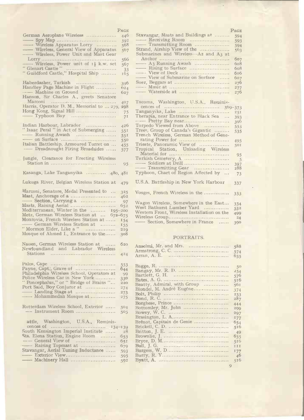|                                                                           | PAGE           |                                  |
|---------------------------------------------------------------------------|----------------|----------------------------------|
| German Aeroplane Wireless                                                 | 446            | Stavang                          |
|                                                                           | 392            | $\longrightarrow R$              |
| - Wireless Apparatus Lorry                                                | 568            | $-$ T                            |
| - Wireless, General View of Apparatus                                     |                | Strand,                          |
| - Wireless, Power Unit and Mast Gear                                      | 567            | Submar                           |
|                                                                           |                | Anch                             |
| — Wireless, Power unit of $I_2$ k.w. set                                  | 566            | $\longrightarrow$ A              |
|                                                                           | 567            | $-\mathbb{R}$                    |
|                                                                           | 33             |                                  |
|                                                                           | 165            | $\frac{1}{\sqrt{1-\frac{1}{2}}}$ |
| Haberdasher, Turkish                                                      |                | Suez, B                          |
| Handley Page Machine in Flight                                            | 396            |                                  |
| -- Machine on Ground                                                      | 624            | $\frac{1}{\sqrt{1-\frac{1}{2}}}$ |
| Hanson, Sir Charles A., greets Senatore                                   | 627            |                                  |
|                                                                           | 407            | Tacoma                           |
| Harris, Operator D. M., Memorial to  279,                                 | 298            | cences                           |
| Hong Kong, Signal Hill                                                    |                | Tangan                           |
|                                                                           | 75             | $\mathrm{Therapi}$               |
|                                                                           | 7 <sup>I</sup> | —— Pr                            |
| Indian Harbour, Labrador                                                  | 426            | Torpedo                          |
| "Isaac Peral " in Act of Submerging                                       | 55I            | Trees, C                         |
|                                                                           | 55I            | Trench                           |
|                                                                           | 550            | rating                           |
| Italian Battleship, Armoured Turret on                                    | 455            | Trieste,                         |
| - Dreadnought Firing Broadsides                                           | 577            | Tropical                         |
|                                                                           |                | Mater                            |
| Jungle, Clearance for Erecting Wireless                                   |                | Turkish                          |
|                                                                           | 95             | $-$ So                           |
|                                                                           |                | $-$ Tr                           |
| Kasanga, Lake Tanganyika  480, 481                                        |                | Typhooi                          |
| Lukuga River, Belgian Wireless Station at                                 | 479            | U.S.A. I                         |
| Marconi, Senatore, Medal Presented to                                     |                |                                  |
| Mast, Anchorage of a                                                      | 325            | Vosges,                          |
| Section, Carrying a                                                       | 402            |                                  |
| Masts, Raising Aerial                                                     | 97<br>652      | Wagon '                          |
| Mediterranean, Winter in the  195-200                                     |                | West Ba                          |
| Metz, German Wireless Station at  672-675                                 |                | Western                          |
| Monrovia, French Wireless Station at                                      | 154            | Wireless                         |
| — German Wireless Station at ………                                          | 155            | —— Se                            |
| "Mormon Elder, Like a "                                                   | 219            |                                  |
| Mosque of Ahmed I., Entrance to the                                       | 308            |                                  |
|                                                                           |                |                                  |
| Nauen, German Wireless Station at                                         | 620            |                                  |
| Newfoundland and Labrador Wireless                                        |                | Anselmi                          |
|                                                                           | 424            | Armstro                          |
|                                                                           |                | Arran, A                         |
|                                                                           |                |                                  |
| Palos, Cape<br>Payne, Capt., Grave of                                     | 553            | Bagge, l                         |
| Philadelphia Wireless School, Operators at                                | 044            | Bangay,                          |
|                                                                           | 99             | Bartlett                         |
| Police Wireless Car in New York<br>"Poncephalus," or " Bridge of Brains " | 330            | Bates, A                         |
| Port Said, Boy Conjuror at                                                | 220            | Beatty,                          |
|                                                                           | 274            | Blondel,                         |
| - Mohammedan Mosque at                                                    | -273           | Bolt, Ph                         |
|                                                                           | 275            | Bond, R                          |
|                                                                           |                | <b>Borghes</b>                   |
| Rotterdam Wireless School, Exterior                                       | 504            | Bottoml                          |
| -- Instrument Room                                                        | 505            | Bowey,                           |
|                                                                           |                | <b>Brasingt</b>                  |
| attle, Washington, U.S.A., Reminis-                                       |                | Brénot,                          |
| cences of                                                                 |                | Brickell,                        |
| South Kensington Imperial Institute                                       | 28             | Britton,                         |
| Sta. Elena Station, Engine Room                                           | 653            | Brownli                          |
|                                                                           | 651            | Bryce, I                         |
| - Raising Topmast at                                                      | 679            | Bull, J.                         |
| Stavangar, Aerial Tuning Inductance                                       | 593            | Burgess,                         |
| Exterior View                                                             | 595            | Burry, I                         |
|                                                                           | 592            | Byatt, A                         |

| 24.24 | and a state of the state                 |  |
|-------|------------------------------------------|--|
| 446   | Stavangar, Masts and Buildings at<br>594 |  |
| 392   | 593                                      |  |
| 568   | - Transmitting Room<br>594               |  |
| 567   | Strand, Airship View of the<br>563       |  |
|       | Submarines and Wireless-A2 and A3 at     |  |
| 566   | 607                                      |  |
| 567   | 608                                      |  |
| 33    | 608                                      |  |
| 165   | 606                                      |  |
|       | 607                                      |  |
| 396   | 276                                      |  |
| 624   | 277                                      |  |
| 627   | 276                                      |  |
|       |                                          |  |
|       |                                          |  |

| 407                   | Tacoma, Washington, U.S.A., Reminis-        |            |  |
|-----------------------|---------------------------------------------|------------|--|
| 298                   |                                             |            |  |
| 75                    | Tanganyika, Lake                            | 25I        |  |
| 7 <sup>I</sup>        | Therapia, near Entrance to Black Sea        | 393        |  |
|                       |                                             | 396        |  |
| 426                   | Torpedo Viewed from Above                   | 553        |  |
| 55I                   | Trees, Group of Canada's Gigantic           | 535        |  |
| 55I                   | Trench Wireless, German Method of Gene-     |            |  |
| 550                   |                                             | 495        |  |
| 455                   | Trieste, Panoramic View of                  | 501        |  |
| 577                   | Tropical Station, Unloading Wireless        |            |  |
|                       |                                             | 95         |  |
|                       |                                             | $\sqrt{5}$ |  |
| 95                    |                                             | 397        |  |
|                       | - Transmitting Gear                         | 288        |  |
| 48I                   | Typhoon, Chart of Region Affected by        | 73         |  |
|                       |                                             |            |  |
| 479                   | U.S.A. Battleship in New York Harbour       | 337        |  |
|                       |                                             |            |  |
| 325                   | Vosges, French Wireless in the              | 333        |  |
| 462                   |                                             |            |  |
| 97                    | Wagon Wireless, Somewhere in the East       |            |  |
| 652                   | West Bathurst Lumber Yard                   | 334        |  |
| 200                   |                                             | 532        |  |
| 675                   | Western Front, Wireless Installation on the | 499        |  |
| 154                   |                                             | 24         |  |
| $T \n\t\leq \n\t\leq$ |                                             | 390        |  |

### PORTRAITS.

| 620 |                             | 588        |
|-----|-----------------------------|------------|
|     |                             | 574        |
| 424 |                             | 635        |
|     |                             |            |
|     |                             |            |
| 553 |                             | 50         |
| 644 |                             | 454        |
| 99  |                             | 576        |
| 330 |                             | 516        |
| 220 | Beatty, Admiral, with Group | 561        |
| 274 | Blondel, M. André Eugène    | 374        |
| 273 |                             |            |
| 275 |                             | 233        |
|     |                             | 287        |
|     |                             | 444        |
| 504 |                             | 299        |
| 505 |                             | 297        |
|     |                             | <b>I77</b> |
|     | Brénot, Capitain de Genie   | 654        |
| 139 |                             | 516        |
| 28  |                             | 49         |
|     |                             |            |
| 653 |                             | 635        |
| 651 |                             | 516        |
| 679 |                             | III        |
| 593 |                             | I77        |
| 595 |                             | 46         |
| 502 |                             | 516        |
|     |                             |            |
|     | 9                           |            |

## PAGE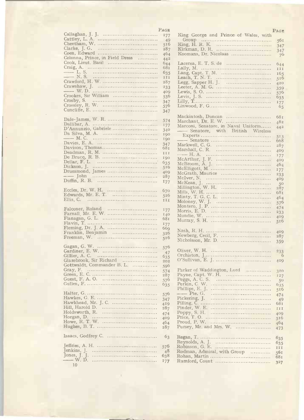|                                 | LAGE |                                                                                     | PAGE            |
|---------------------------------|------|-------------------------------------------------------------------------------------|-----------------|
|                                 | 177  | King George and Prince of Wales, with                                               |                 |
|                                 | 49   |                                                                                     | 56I             |
|                                 | 516  |                                                                                     | 347             |
|                                 | 287  |                                                                                     |                 |
|                                 | 464  | Koomans, Dr. Nicolaas                                                               | 347             |
| Colonna, Prince, in Field Dress | 442  |                                                                                     | 70              |
|                                 |      |                                                                                     |                 |
|                                 | 044  |                                                                                     | 044             |
|                                 | 981  | Lally, M. $\dots \dots \dots \dots \dots \dots \dots \dots \dots \dots \dots \dots$ | III             |
|                                 | 035  |                                                                                     | 165             |
|                                 | III  |                                                                                     | 516             |
|                                 | 287  |                                                                                     | 420             |
|                                 | 233  |                                                                                     | 359             |
|                                 | 409  |                                                                                     | 576             |
| Crookes, Sir William            | 536  |                                                                                     |                 |
|                                 |      |                                                                                     | 635             |
|                                 | 347  |                                                                                     | 177             |
|                                 | 576  |                                                                                     | 6 <sub>5</sub>  |
|                                 | 347  |                                                                                     |                 |
|                                 |      |                                                                                     | 681             |
|                                 | 574  | Marchant, Dr. E. W.                                                                 | 482             |
|                                 | 177  | Marconi, Senatore, in Naval Uniform                                                 | 442             |
| D'Annunzio, Gabriele            | 340  | - Senatore, with British Wireless                                                   |                 |
|                                 | 190  |                                                                                     |                 |
|                                 | 190  |                                                                                     | 513<br>668      |
|                                 | 347  |                                                                                     |                 |
| Davison, Thomas                 | 08I  |                                                                                     | 287             |
|                                 | III  |                                                                                     | 409             |
|                                 | 190  |                                                                                     | 177             |
|                                 | 635  |                                                                                     | 409             |
|                                 |      |                                                                                     | 404             |
| Drummond, James                 | 510  |                                                                                     | 177             |
|                                 | 409  | McGrath, Maurice                                                                    | 233             |
| —— John …………………………………           | 287  |                                                                                     | 409             |
|                                 | 177  |                                                                                     | 50              |
|                                 |      |                                                                                     | 287             |
|                                 | 670  |                                                                                     | 681             |
|                                 | 526  |                                                                                     | 464             |
|                                 | III  |                                                                                     |                 |
|                                 |      |                                                                                     | 57 <sup>6</sup> |
|                                 | 177  |                                                                                     | 474             |
|                                 | 140  |                                                                                     | 233             |
|                                 | 681  |                                                                                     | 409             |
|                                 |      |                                                                                     | 516             |
|                                 | 177  |                                                                                     |                 |
|                                 | 669  |                                                                                     | 409             |
| Franklin, Benjamin              | 326  |                                                                                     | 287             |
|                                 | 516  |                                                                                     |                 |
|                                 |      |                                                                                     | 359             |
|                                 | 576  |                                                                                     |                 |
|                                 | 47   |                                                                                     | 233             |
|                                 | 635  |                                                                                     | $\circ$         |
| Glazebrook, Sir Richard         | 202  |                                                                                     | 409             |
| Gottwaldt, Commander B. L.      | 596  |                                                                                     |                 |
|                                 | 574  | Parker of Waddington, Lord                                                          | 310             |
|                                 | 287  |                                                                                     | I27             |
|                                 | 576  |                                                                                     |                 |
|                                 |      |                                                                                     | 50              |
|                                 | 635  |                                                                                     | 635             |
|                                 |      |                                                                                     | 5 <sup>t</sup>  |
|                                 | 576  |                                                                                     | 474             |
|                                 | 347  |                                                                                     | 49              |
|                                 | 419  |                                                                                     | 681             |
|                                 | 287  |                                                                                     | III             |
|                                 | 474  |                                                                                     | 409             |
|                                 | 409  |                                                                                     | 516             |
|                                 | 464  |                                                                                     | 464             |
|                                 | 287  | Pursey, Mr. and Mrs. W.                                                             | 473             |
|                                 |      |                                                                                     |                 |
|                                 | 63   |                                                                                     |                 |
|                                 |      |                                                                                     | 635             |
|                                 |      |                                                                                     | 635             |
|                                 | 576  |                                                                                     | III             |
|                                 | 48   | Rodman, Admiral, with Group                                                         | 56 <sub>I</sub> |
|                                 | 638  |                                                                                     | 681             |
|                                 | 177  |                                                                                     | $3^{27}$        |
| 10                              |      |                                                                                     |                 |

|                                 | LAGE |                                                                                                                                                                                                                                                                                                                                                                                                                 | PAGE            |  |
|---------------------------------|------|-----------------------------------------------------------------------------------------------------------------------------------------------------------------------------------------------------------------------------------------------------------------------------------------------------------------------------------------------------------------------------------------------------------------|-----------------|--|
|                                 | 177  | King George and Prince of Wales, with                                                                                                                                                                                                                                                                                                                                                                           |                 |  |
|                                 | 49   |                                                                                                                                                                                                                                                                                                                                                                                                                 | 56I             |  |
|                                 | 516  |                                                                                                                                                                                                                                                                                                                                                                                                                 | 347             |  |
|                                 | 287  |                                                                                                                                                                                                                                                                                                                                                                                                                 |                 |  |
|                                 | 464  | Koomans, Dr. Nicolaas                                                                                                                                                                                                                                                                                                                                                                                           | 347             |  |
| Colonna, Prince, in Field Dress |      |                                                                                                                                                                                                                                                                                                                                                                                                                 | 76              |  |
|                                 | 442  |                                                                                                                                                                                                                                                                                                                                                                                                                 |                 |  |
|                                 | 044  |                                                                                                                                                                                                                                                                                                                                                                                                                 | 644             |  |
|                                 | 981  |                                                                                                                                                                                                                                                                                                                                                                                                                 | III             |  |
| —— L. S. ……………………………………         | 035  |                                                                                                                                                                                                                                                                                                                                                                                                                 | 165             |  |
|                                 | III  |                                                                                                                                                                                                                                                                                                                                                                                                                 | 516             |  |
|                                 | 287  |                                                                                                                                                                                                                                                                                                                                                                                                                 | 420             |  |
|                                 | 233  |                                                                                                                                                                                                                                                                                                                                                                                                                 | 359             |  |
|                                 | 409  |                                                                                                                                                                                                                                                                                                                                                                                                                 | 576             |  |
|                                 | 536  |                                                                                                                                                                                                                                                                                                                                                                                                                 | 635             |  |
|                                 | 347  | Lilly, $T_1, \ldots, T_{n_1}, \ldots, T_{n_2}, \ldots, T_{n_1}, \ldots, T_{n_2}, \ldots, T_{n_1}, \ldots, T_{n_n}, \ldots, T_{n_n}, \ldots, T_{n_n}, \ldots, T_{n_n}, \ldots, T_{n_n}, \ldots, T_{n_n}, \ldots, T_{n_n}, \ldots, T_{n_n}, \ldots, T_{n_n}, \ldots, T_{n_n}, \ldots, T_{n_n}, \ldots, T_{n_n}, \ldots, T_{n_n}, \ldots, T_{n_n}, \ldots, T_{n_n}, \ldots, T_{n_n}, \ldots, T_{n_n}, \ldots, T_{$ |                 |  |
|                                 | 576  |                                                                                                                                                                                                                                                                                                                                                                                                                 | 177             |  |
|                                 |      |                                                                                                                                                                                                                                                                                                                                                                                                                 | 0 <sub>5</sub>  |  |
|                                 | 347  |                                                                                                                                                                                                                                                                                                                                                                                                                 |                 |  |
|                                 |      | Mackintosh, Duncan                                                                                                                                                                                                                                                                                                                                                                                              | 681             |  |
|                                 | 574  | Marchant, Dr. E. W.                                                                                                                                                                                                                                                                                                                                                                                             | 482             |  |
|                                 | 177  | Marconi, Senatore, in Naval Uniform                                                                                                                                                                                                                                                                                                                                                                             | 442             |  |
| D'Annunzio, Gabriele            | 340  | - Senatore, with British Wireless                                                                                                                                                                                                                                                                                                                                                                               |                 |  |
|                                 | 190  |                                                                                                                                                                                                                                                                                                                                                                                                                 |                 |  |
|                                 | 190  |                                                                                                                                                                                                                                                                                                                                                                                                                 | 513             |  |
|                                 | 347  |                                                                                                                                                                                                                                                                                                                                                                                                                 | 668             |  |
| Davison, Thomas                 | 981  |                                                                                                                                                                                                                                                                                                                                                                                                                 | 287             |  |
|                                 | III  |                                                                                                                                                                                                                                                                                                                                                                                                                 | 409             |  |
|                                 | 190  |                                                                                                                                                                                                                                                                                                                                                                                                                 | 177             |  |
|                                 |      |                                                                                                                                                                                                                                                                                                                                                                                                                 | 409             |  |
|                                 | 635  |                                                                                                                                                                                                                                                                                                                                                                                                                 | 404             |  |
|                                 | 510  |                                                                                                                                                                                                                                                                                                                                                                                                                 | 177             |  |
|                                 | 409  |                                                                                                                                                                                                                                                                                                                                                                                                                 | 233             |  |
|                                 | 287  |                                                                                                                                                                                                                                                                                                                                                                                                                 | 409             |  |
|                                 | 177  |                                                                                                                                                                                                                                                                                                                                                                                                                 | 50              |  |
|                                 |      |                                                                                                                                                                                                                                                                                                                                                                                                                 |                 |  |
|                                 | 670  |                                                                                                                                                                                                                                                                                                                                                                                                                 | 287             |  |
|                                 | 526  |                                                                                                                                                                                                                                                                                                                                                                                                                 | 681             |  |
|                                 | III  |                                                                                                                                                                                                                                                                                                                                                                                                                 | 464             |  |
|                                 |      |                                                                                                                                                                                                                                                                                                                                                                                                                 | 576             |  |
|                                 |      |                                                                                                                                                                                                                                                                                                                                                                                                                 | 474             |  |
|                                 | 177  |                                                                                                                                                                                                                                                                                                                                                                                                                 | 233             |  |
|                                 | 140  |                                                                                                                                                                                                                                                                                                                                                                                                                 | 409             |  |
|                                 | 981  |                                                                                                                                                                                                                                                                                                                                                                                                                 | 516             |  |
|                                 | 177  |                                                                                                                                                                                                                                                                                                                                                                                                                 |                 |  |
|                                 | 669  |                                                                                                                                                                                                                                                                                                                                                                                                                 |                 |  |
|                                 | 326  |                                                                                                                                                                                                                                                                                                                                                                                                                 | 409             |  |
|                                 | 516  |                                                                                                                                                                                                                                                                                                                                                                                                                 | 287             |  |
|                                 |      |                                                                                                                                                                                                                                                                                                                                                                                                                 | 359             |  |
|                                 | 576  |                                                                                                                                                                                                                                                                                                                                                                                                                 |                 |  |
|                                 | 47   |                                                                                                                                                                                                                                                                                                                                                                                                                 | 233             |  |
|                                 | 635  | $Orchiston, \dots, \dots, \dots, \dots, \dots, \dots, \dots, \dots, \dots$                                                                                                                                                                                                                                                                                                                                      | $\circ$         |  |
| Glazebrook, Sir Richard         |      |                                                                                                                                                                                                                                                                                                                                                                                                                 | 409             |  |
| Gottwaldt, Commander B. L.      | 202  |                                                                                                                                                                                                                                                                                                                                                                                                                 |                 |  |
|                                 | 596  |                                                                                                                                                                                                                                                                                                                                                                                                                 |                 |  |
|                                 | 574  | Parker of Waddington, Lord                                                                                                                                                                                                                                                                                                                                                                                      | 310             |  |
|                                 | 287  |                                                                                                                                                                                                                                                                                                                                                                                                                 | I27             |  |
|                                 | 576  |                                                                                                                                                                                                                                                                                                                                                                                                                 | 50              |  |
|                                 | 635  |                                                                                                                                                                                                                                                                                                                                                                                                                 | 0.35            |  |
|                                 |      |                                                                                                                                                                                                                                                                                                                                                                                                                 | 516             |  |
|                                 | 576  |                                                                                                                                                                                                                                                                                                                                                                                                                 | 474             |  |
|                                 | 347  |                                                                                                                                                                                                                                                                                                                                                                                                                 | 49              |  |
| Hawkhead, Mr. J. C.             | 419  |                                                                                                                                                                                                                                                                                                                                                                                                                 | 681             |  |
|                                 | 287  |                                                                                                                                                                                                                                                                                                                                                                                                                 | III             |  |
|                                 |      |                                                                                                                                                                                                                                                                                                                                                                                                                 |                 |  |
|                                 | 474  |                                                                                                                                                                                                                                                                                                                                                                                                                 | 409             |  |
|                                 | 409  |                                                                                                                                                                                                                                                                                                                                                                                                                 | 510             |  |
|                                 | 464  |                                                                                                                                                                                                                                                                                                                                                                                                                 | 404             |  |
|                                 | 287  |                                                                                                                                                                                                                                                                                                                                                                                                                 | 473             |  |
|                                 |      |                                                                                                                                                                                                                                                                                                                                                                                                                 |                 |  |
|                                 | 63   |                                                                                                                                                                                                                                                                                                                                                                                                                 | 635             |  |
|                                 |      |                                                                                                                                                                                                                                                                                                                                                                                                                 |                 |  |
|                                 | 576  |                                                                                                                                                                                                                                                                                                                                                                                                                 | 635             |  |
|                                 | 48   |                                                                                                                                                                                                                                                                                                                                                                                                                 | III             |  |
|                                 | 638  | Rodman, Admiral, with Group                                                                                                                                                                                                                                                                                                                                                                                     | 56 <sub>I</sub> |  |
|                                 |      |                                                                                                                                                                                                                                                                                                                                                                                                                 | 681             |  |
|                                 | 177  |                                                                                                                                                                                                                                                                                                                                                                                                                 |                 |  |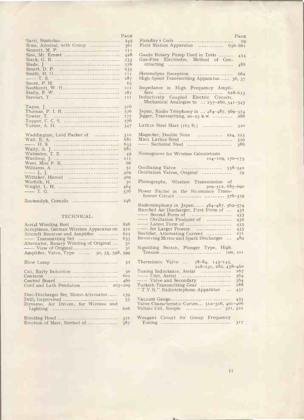|                            | <b>ALC 1979</b> |                            |
|----------------------------|-----------------|----------------------------|
|                            | 245             | Farada                     |
| Sims, Admiral, with Group  | 561             | Field S                    |
|                            | III             |                            |
|                            | .128            | Gaede                      |
|                            | 233             | Gas-Fi                     |
|                            | 576             | stru                       |
|                            | 233             |                            |
|                            | III             | Hetero                     |
|                            | 287             | High-S                     |
|                            | 65              |                            |
|                            | III             | Imped                      |
|                            | 287             | fiers                      |
|                            | III             | Induct                     |
|                            |                 | Mecl                       |
|                            | 516             |                            |
|                            | 576             | Japan,                     |
|                            | <b>177</b>      | Jigger,                    |
|                            | 576             |                            |
|                            | 347             | Lattice                    |
|                            |                 |                            |
| Waddington, Lord Parker of | 310             | Magnif                     |
|                            | 681             | Mast <sub>.</sub> I        |
| —— H. S. ……………………………………    | 635             | $\overline{\phantom{0}}$ s |
|                            | 681             |                            |
|                            | 49              | Nomog                      |
|                            | III             |                            |
|                            | 66              |                            |
|                            | 5I              | O <sub>scillat</sub>       |
| —— L. J. …………………………………     | 409             | Oscillat                   |
| Wittaker, Harold           | 409             |                            |
|                            | 50              | Photog                     |
|                            | 464             |                            |
|                            | 576             | Power                      |
|                            |                 | form                       |
|                            | 246             |                            |
|                            |                 | <b>Contract Contract</b>   |

### TECHNICAL.

| Aeroplanes, German Wireless Apparatus on<br>210<br>625<br>Aircraft Receiver and Amplifier<br>635<br>Alternator, Rotary Winding of Original<br>3I<br>Signalli<br>31<br>Amplifier, Valve, Type  50, 55, 598, 599<br>52<br>Coil, Early Induction<br>30<br>602<br>$-$ V<br>460<br>Disc-Discharger Set, Motor-Alternator<br>159<br>Vacuun<br>53<br>Dynamo, Air Driven, for Wireless and<br>626<br>32I |                             | 626 | $-1$                           |
|--------------------------------------------------------------------------------------------------------------------------------------------------------------------------------------------------------------------------------------------------------------------------------------------------------------------------------------------------------------------------------------------------|-----------------------------|-----|--------------------------------|
|                                                                                                                                                                                                                                                                                                                                                                                                  |                             |     | $-$ for $f$ of $f$<br>Rectifie |
|                                                                                                                                                                                                                                                                                                                                                                                                  |                             |     | Revolv.                        |
|                                                                                                                                                                                                                                                                                                                                                                                                  |                             |     |                                |
|                                                                                                                                                                                                                                                                                                                                                                                                  |                             |     | Tensi                          |
|                                                                                                                                                                                                                                                                                                                                                                                                  |                             |     | Thermi                         |
|                                                                                                                                                                                                                                                                                                                                                                                                  |                             |     | Tuning                         |
|                                                                                                                                                                                                                                                                                                                                                                                                  |                             |     | $- -$ U                        |
|                                                                                                                                                                                                                                                                                                                                                                                                  |                             |     | Turkish<br>$``$ T.Y.I          |
|                                                                                                                                                                                                                                                                                                                                                                                                  |                             |     |                                |
|                                                                                                                                                                                                                                                                                                                                                                                                  |                             |     | Valve (                        |
|                                                                                                                                                                                                                                                                                                                                                                                                  |                             |     | Voltaic                        |
|                                                                                                                                                                                                                                                                                                                                                                                                  | Erection of Mast, Method of | 387 | Weagar<br>Tunin                |

| PAGE           |                                                                                               | PAGE            |
|----------------|-----------------------------------------------------------------------------------------------|-----------------|
| 245            |                                                                                               |                 |
|                |                                                                                               | 20              |
| 561            | Field Station Apparatus  656–661                                                              |                 |
| III            |                                                                                               |                 |
| .428           | Gaede Rotary Pump Used in Tests                                                               | 434             |
| 333            | Gas-Free Electrodes, Method of Con-                                                           |                 |
| 576            |                                                                                               | 488             |
| 233            |                                                                                               |                 |
| III            |                                                                                               |                 |
| 287            | High-Speed Transmitting Apparatus 36, 37                                                      |                 |
| 65             |                                                                                               |                 |
| III            | Impedance in High Frequency Ampli-                                                            |                 |
| 287            | fiers $\dots$<br>$\dots$ 628–633                                                              |                 |
| III            | Inductively Coupled Electric Circuits,                                                        |                 |
|                | Mechanical Analogies to $\ldots$ 257-260, 341-345                                             |                 |
| 516            |                                                                                               |                 |
| 576            | Japan, Radio Telephony in  484-487, 569-574                                                   |                 |
| 177            | Jigger, Transmitting, 20-25 k.w.                                                              | 266             |
| 576            |                                                                                               |                 |
| 347            |                                                                                               |                 |
|                |                                                                                               |                 |
| 310            | Magnifier, Double Note  224, 225                                                              |                 |
| 681            |                                                                                               | 320             |
| 635            |                                                                                               | 386             |
| 681            |                                                                                               |                 |
| 49             | Nomograms for Wireless Calculations                                                           |                 |
| III            | $104 - 109$ , $170 - 175$                                                                     |                 |
| 66             |                                                                                               |                 |
| 5I             |                                                                                               |                 |
| 409            | Oscillation Valves, Original                                                                  |                 |
| 409            |                                                                                               | 79              |
| 50             | Photographs, Wireless Transmission of                                                         |                 |
| 404            | 509-512, 685-690                                                                              |                 |
|                | Power Factor in the Resonance Trans-                                                          |                 |
| 576            |                                                                                               |                 |
| 246            |                                                                                               |                 |
|                | Radiotelephony in Japan 484-487. 569-574                                                      |                 |
|                | Rarefied Air Discharger, First Form of  432                                                   |                 |
|                |                                                                                               |                 |
|                | ---- Oscillation Producer of                                                                  | 433             |
| 626            |                                                                                               | 432             |
| 210            |                                                                                               | 433             |
|                |                                                                                               | 435             |
| 625            | Rectifier, Alternating Current                                                                | 27I<br>489      |
| 635            | Revolving Mirror and Spark Discharges                                                         |                 |
| 3I             | Signalling Switch, Plunger Type, High                                                         |                 |
| 31             |                                                                                               |                 |
| 599            |                                                                                               |                 |
|                |                                                                                               |                 |
| 5 <sup>2</sup> | Thermionic Valve  78-84, 143-145,                                                             |                 |
|                | 228-231, 282, 458-460                                                                         |                 |
| 30             |                                                                                               |                 |
| 602            | Unit, Aerial<br>Valve and Secondary<br>Turkish Transmitting Gear<br>Turkish Transmitting Gear | 564             |
| 460            |                                                                                               | 564             |
| $-209$         |                                                                                               | 288             |
|                | "T.Y.K." Radiotelephone Apparatus                                                             | 43 <sup>1</sup> |
| 159            |                                                                                               |                 |
| 53             |                                                                                               | 435             |
|                | Valve Characteristic Curves 312-316, 401-406                                                  |                 |
| 626            |                                                                                               |                 |
|                |                                                                                               |                 |
| 32I            | Weagant Circuit for Group Frequency                                                           |                 |

|        |  | <i>weagant</i> Chemic for Group Frequency |     |
|--------|--|-------------------------------------------|-----|
| Tuning |  |                                           | 317 |

11